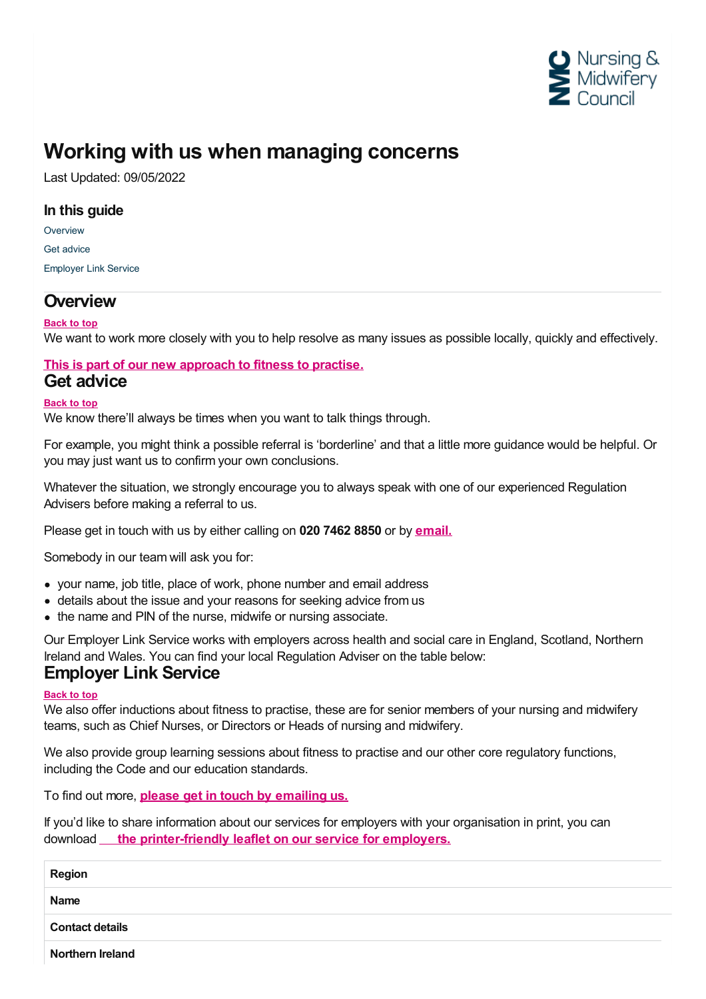

# **Working with us when managing concerns**

Last Updated: 09/05/2022

### **In this guide**

**[Overview](#page-0-0)** Get [advice](#page-0-1) [Employer](#page-0-2) Link Service

### <span id="page-0-0"></span>**Overview**

**Back to top**

We want to work more closely with you to help resolve as many issues as possible locally, quickly and effectively.

#### <span id="page-0-1"></span>**This is part of our new [approach](https://www.nmc.org.uk/concerns-nurses-midwives/fitness-to-practise-a-new-approach/) to fitness to practise. Get advice**

#### **Back to top**

We know there'll always be times when you want to talk things through.

For example, you might think a possible referral is 'borderline' and that a little more guidance would be helpful. Or you may just want us to confirm your own conclusions.

Whatever the situation, we strongly encourage you to always speak with one of our experienced Regulation Advisers before making a referral to us.

Please get in touch with us by either calling on **020 7462 8850** or by **[email.](mailto:employerlinkservice@nmc-uk.org)**

Somebody in our team will ask you for:

- your name, job title, place of work, phone number and email address
- details about the issue and your reasons for seeking advice from us
- the name and PIN of the nurse, midwife or nursing associate.

Our Employer Link Service works with employers across health and social care in England, Scotland, Northern Ireland and Wales. You can find your local Regulation Adviser on the table below:

### <span id="page-0-2"></span>**Employer Link Service**

#### **Back to top**

We also offer inductions about fitness to practise, these are for senior members of your nursing and midwifery teams, such as Chief Nurses, or Directors or Heads of nursing and midwifery.

We also provide group learning sessions about fitness to practise and our other core regulatory functions, including the Code and our education standards.

To find out more, **please get in touch by [emailing](http://employerlinkservice@nmc-uk.org) us.**

If you'd like to share information about our services for employers with your organisation in print, you can download **the [printer-friendly](https://www.nmc.org.uk/globalassets/sitedocuments/nmc-publications/nmc-services-employers.pdf) leaflet on our service for employers.**

| <b>Region</b>           |  |
|-------------------------|--|
| <b>Name</b>             |  |
| <b>Contact details</b>  |  |
| <b>Northern Ireland</b> |  |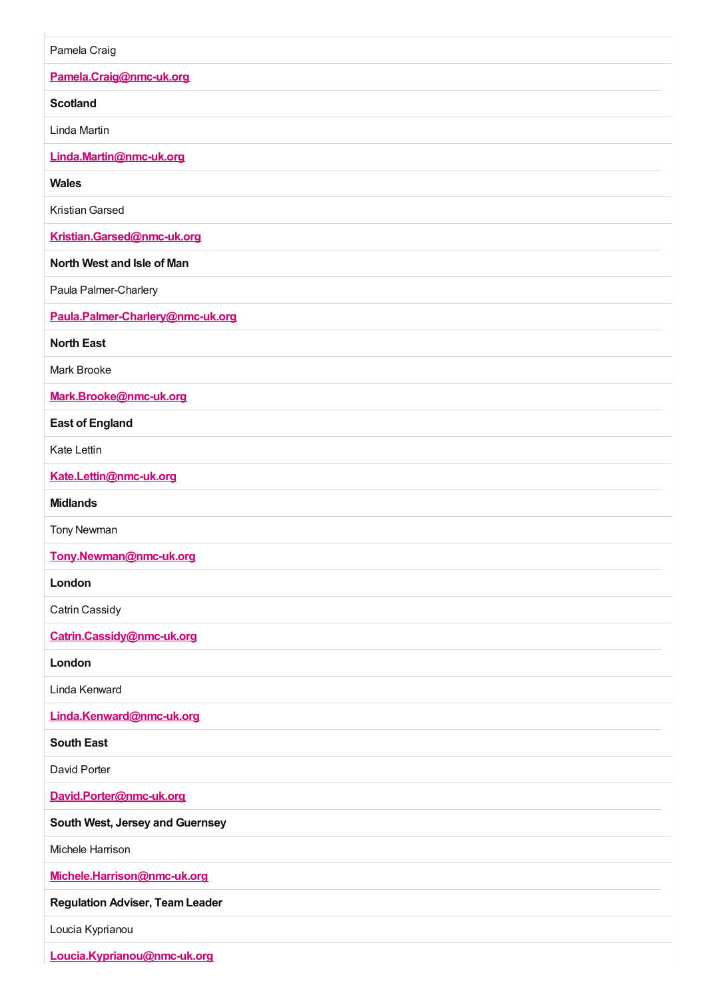| Pamela Craig                           |
|----------------------------------------|
| Pamela.Craig@nmc-uk.org                |
| <b>Scotland</b>                        |
| Linda Martin                           |
| Linda.Martin@nmc-uk.org                |
| <b>Wales</b>                           |
| Kristian Garsed                        |
| Kristian.Garsed@nmc-uk.org             |
| North West and Isle of Man             |
| Paula Palmer-Charlery                  |
| Paula.Palmer-Charlery@nmc-uk.org       |
| <b>North East</b>                      |
| Mark Brooke                            |
| Mark.Brooke@nmc-uk.org                 |
| <b>East of England</b>                 |
| Kate Lettin                            |
| Kate.Lettin@nmc-uk.org                 |
| <b>Midlands</b>                        |
| <b>Tony Newman</b>                     |
| Tony.Newman@nmc-uk.org                 |
| London                                 |
| Catrin Cassidy                         |
| Catrin.Cassidy@nmc-uk.org              |
| London                                 |
| Linda Kenward                          |
| Linda.Kenward@nmc-uk.org               |
| <b>South East</b>                      |
| David Porter                           |
| David.Porter@nmc-uk.org                |
| South West, Jersey and Guernsey        |
| Michele Harrison                       |
| Michele.Harrison@nmc-uk.org            |
| <b>Regulation Adviser, Team Leader</b> |
| Loucia Kyprianou                       |
| Loucia.Kyprianou@nmc-uk.org            |